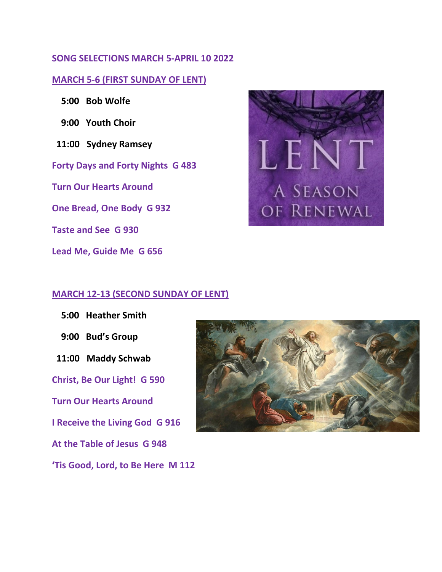# **SONG SELECTIONS MARCH 5-APRIL 10 2022**

## **MARCH 5-6 (FIRST SUNDAY OF LENT)**

- **5:00 Bob Wolfe**
- **9:00 Youth Choir**
- **11:00 Sydney Ramsey**
- **Forty Days and Forty Nights G 483**

**Turn Our Hearts Around**

**One Bread, One Body G 932**

**Taste and See G 930**

**Lead Me, Guide Me G 656**

# LEN A SEASON OF RENEWAL

#### **MARCH 12-13 (SECOND SUNDAY OF LENT)**

 **5:00 Heather Smith 9:00 Bud's Group 11:00 Maddy Schwab Christ, Be Our Light! G 590 Turn Our Hearts Around I Receive the Living God G 916 At the Table of Jesus G 948 'Tis Good, Lord, to Be Here M 112**

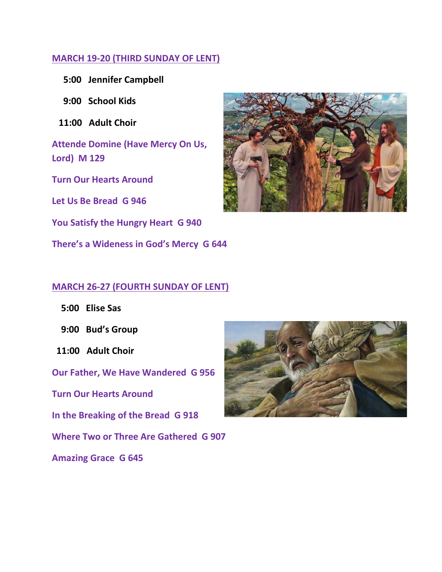# **MARCH 19-20 (THIRD SUNDAY OF LENT)**

- **5:00 Jennifer Campbell**
- **9:00 School Kids**
- **11:00 Adult Choir**
- **Attende Domine (Have Mercy On Us, Lord) M 129**
- **Turn Our Hearts Around**
- **Let Us Be Bread G 946**
- **You Satisfy the Hungry Heart G 940**
- **There's a Wideness in God's Mercy G 644**



## **MARCH 26-27 (FOURTH SUNDAY OF LENT)**

- **5:00 Elise Sas**
- **9:00 Bud's Group**
- **11:00 Adult Choir**
- **Our Father, We Have Wandered G 956**
- **Turn Our Hearts Around**
- **In the Breaking of the Bread G 918**
- **Where Two or Three Are Gathered G 907**
- **Amazing Grace G 645**